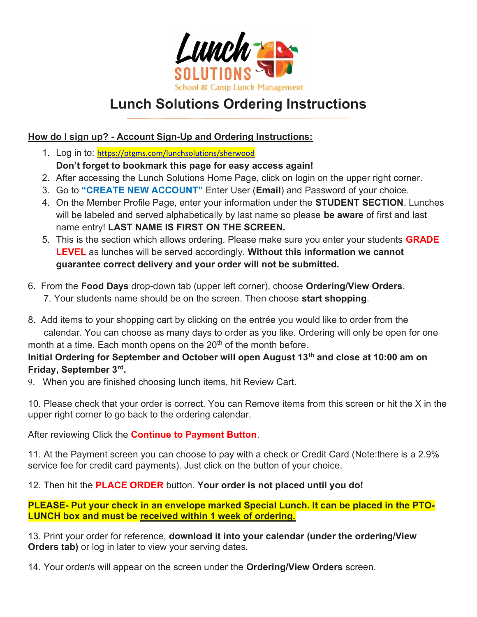

## Lunch Solutions Ordering Instructions

## How do I sign up? - Account Sign-Up and Ordering Instructions:

- 1. Log in to: https://ptgms.com/lunchsolutions/sherwood Don't forget to bookmark this page for easy access again!
- 2. After accessing the Lunch Solutions Home Page, click on login on the upper right corner.
- 3. Go to "CREATE NEW ACCOUNT" Enter User (Email) and Password of your choice.
- 4. On the Member Profile Page, enter your information under the STUDENT SECTION. Lunches will be labeled and served alphabetically by last name so please be aware of first and last name entry! LAST NAME IS FIRST ON THE SCREEN.
- 5. This is the section which allows ordering. Please make sure you enter your students **GRADE** LEVEL as lunches will be served accordingly. Without this information we cannot guarantee correct delivery and your order will not be submitted.
- 6. From the Food Days drop-down tab (upper left corner), choose Ordering/View Orders. 7. Your students name should be on the screen. Then choose start shopping.
- 8. Add items to your shopping cart by clicking on the entrée you would like to order from the calendar. You can choose as many days to order as you like. Ordering will only be open for one month at a time. Each month opens on the  $20<sup>th</sup>$  of the month before.

## Initial Ordering for September and October will open August 13<sup>th</sup> and close at 10:00 am on Friday, September 3rd.

9. When you are finished choosing lunch items, hit Review Cart.

10. Please check that your order is correct. You can Remove items from this screen or hit the X in the upper right corner to go back to the ordering calendar.

After reviewing Click the **Continue to Payment Button**.

11. At the Payment screen you can choose to pay with a check or Credit Card (Note:there is a 2.9% service fee for credit card payments). Just click on the button of your choice.

12. Then hit the **PLACE ORDER** button. Your order is not placed until you do!

PLEASE- Put your check in an envelope marked Special Lunch. It can be placed in the PTO-LUNCH box and must be received within 1 week of ordering.

13. Print your order for reference, download it into your calendar (under the ordering/View **Orders tab)** or log in later to view your serving dates.

14. Your order/s will appear on the screen under the Ordering/View Orders screen.